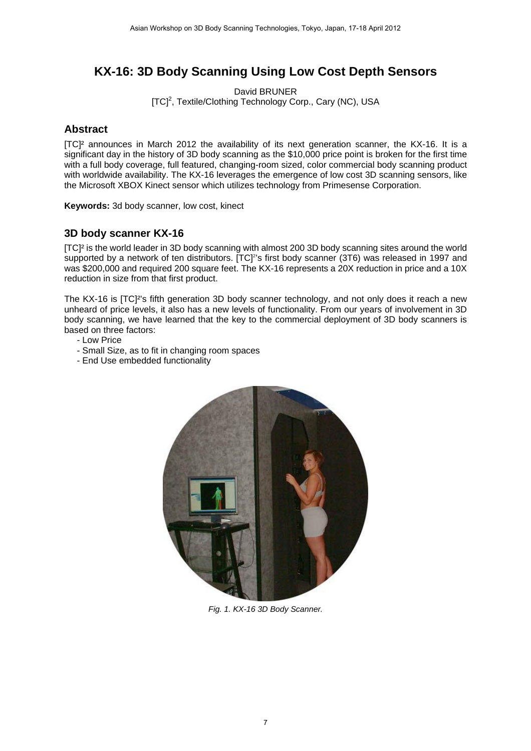## **KX-16: 3D Body Scanning Using Low Cost Depth Sensors**

David BRUNER [TC]<sup>2</sup>, Textile/Clothing Technology Corp., Cary (NC), USA

## **Abstract**

[TC]² announces in March 2012 the availability of its next generation scanner, the KX-16. It is a significant day in the history of 3D body scanning as the \$10,000 price point is broken for the first time with a full body coverage, full featured, changing-room sized, color commercial body scanning product with worldwide availability. The KX-16 leverages the emergence of low cost 3D scanning sensors, like the Microsoft XBOX Kinect sensor which utilizes technology from Primesense Corporation.

**Keywords:** 3d body scanner, low cost, kinect

## **3D body scanner KX-16**

[TC]² is the world leader in 3D body scanning with almost 200 3D body scanning sites around the world supported by a network of ten distributors. [TC]<sup>2</sup>'s first body scanner (3T6) was released in 1997 and was \$200,000 and required 200 square feet. The KX-16 represents a 20X reduction in price and a 10X reduction in size from that first product.

The KX-16 is [TC]²'s fifth generation 3D body scanner technology, and not only does it reach a new unheard of price levels, it also has a new levels of functionality. From our years of involvement in 3D body scanning, we have learned that the key to the commercial deployment of 3D body scanners is based on three factors:

- Low Price
- Small Size, as to fit in changing room spaces
- End Use embedded functionality



*Fig. 1. KX-16 3D Body Scanner.*